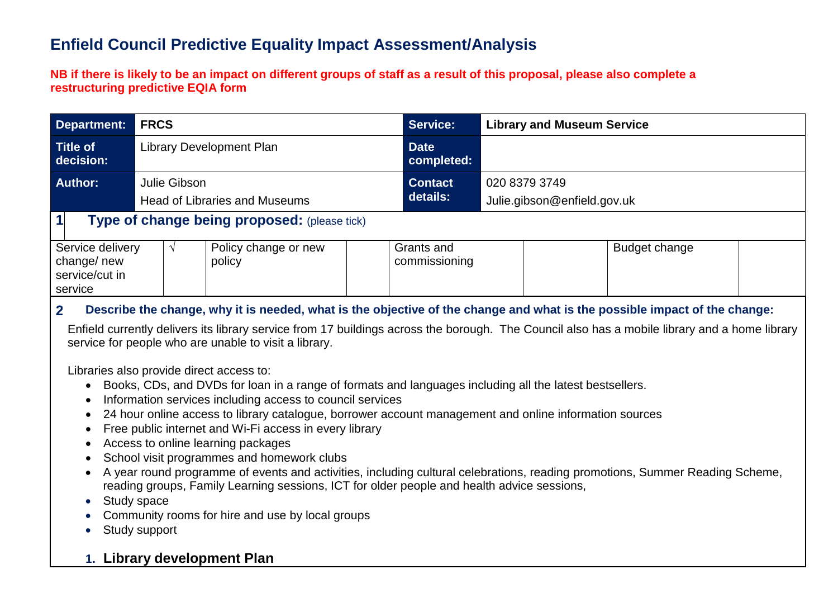## **Enfield Council Predictive Equality Impact Assessment/Analysis**

#### **NB if there is likely to be an impact on different groups of staff as a result of this proposal, please also complete a restructuring predictive EQIA form**

| <b>Department:</b>                                          | <b>FRCS</b>                     |                                              | <b>Service:</b>           | <b>Library and Museum Service</b> |                                              |               |  |  |
|-------------------------------------------------------------|---------------------------------|----------------------------------------------|---------------------------|-----------------------------------|----------------------------------------------|---------------|--|--|
| <b>Title of</b><br>decision:                                | <b>Library Development Plan</b> |                                              | <b>Date</b><br>completed: |                                   |                                              |               |  |  |
| Author:                                                     | Julie Gibson                    | <b>Head of Libraries and Museums</b>         |                           | <b>Contact</b><br>details:        | 020 8379 3749<br>Julie.gibson@enfield.gov.uk |               |  |  |
| $\mathbf{1}$                                                |                                 | Type of change being proposed: (please tick) |                           |                                   |                                              |               |  |  |
| Service delivery<br>change/new<br>service/cut in<br>service |                                 | Policy change or new<br>policy               |                           | Grants and<br>commissioning       |                                              | Budget change |  |  |

### **2. Describe the change, why it is needed, what is the objective of the change and what is the possible impact of the change:**

Enfield currently delivers its library service from 17 buildings across the borough. The Council also has a mobile library and a home library service for people who are unable to visit a library.

Libraries also provide direct access to:

- Books, CDs, and DVDs for loan in a range of formats and languages including all the latest bestsellers.
- Information services including access to council services
- 24 hour online access to library catalogue, borrower account management and online information sources
- Free public internet and Wi-Fi access in every library
- Access to online learning packages
- School visit programmes and homework clubs
- A year round programme of events and activities, including cultural celebrations, reading promotions, Summer Reading Scheme, reading groups, Family Learning sessions, ICT for older people and health advice sessions,
- Study space
- Community rooms for hire and use by local groups
- Study support

## **1. Library development Plan**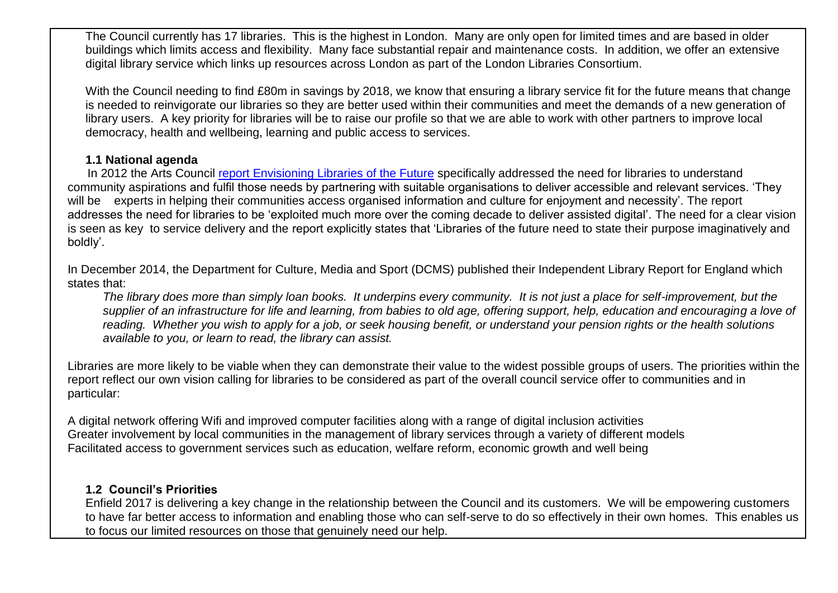The Council currently has 17 libraries. This is the highest in London. Many are only open for limited times and are based in older buildings which limits access and flexibility. Many face substantial repair and maintenance costs. In addition, we offer an extensive digital library service which links up resources across London as part of the London Libraries Consortium.

With the Council needing to find £80m in savings by 2018, we know that ensuring a library service fit for the future means that change is needed to reinvigorate our libraries so they are better used within their communities and meet the demands of a new generation of library users. A key priority for libraries will be to raise our profile so that we are able to work with other partners to improve local democracy, health and wellbeing, learning and public access to services.

#### **1.1 National agenda**

In 2012 the Arts Council report Envisioning Libraries of the Future specifically addressed the need for libraries to understand community aspirations and fulfil those needs by partnering with suitable organisations to deliver accessible and relevant services. 'They will be experts in helping their communities access organised information and culture for enjoyment and necessity'. The report addresses the need for libraries to be 'exploited much more over the coming decade to deliver assisted digital'. The need for a clear vision is seen as key to service delivery and the report explicitly states that 'Libraries of the future need to state their purpose imaginatively and boldly'.

In December 2014, the Department for Culture, Media and Sport (DCMS) published their Independent Library Report for England which states that:

*The library does more than simply loan books. It underpins every community. It is not just a place for self-improvement, but the supplier of an infrastructure for life and learning, from babies to old age, offering support, help, education and encouraging a love of reading. Whether you wish to apply for a job, or seek housing benefit, or understand your pension rights or the health solutions available to you, or learn to read, the library can assist.*

Libraries are more likely to be viable when they can demonstrate their value to the widest possible groups of users. The priorities within the report reflect our own vision calling for libraries to be considered as part of the overall council service offer to communities and in particular:

A digital network offering Wifi and improved computer facilities along with a range of digital inclusion activities Greater involvement by local communities in the management of library services through a variety of different models Facilitated access to government services such as education, welfare reform, economic growth and well being

### **1.2 Council's Priorities**

Enfield 2017 is delivering a key change in the relationship between the Council and its customers. We will be empowering customers to have far better access to information and enabling those who can self-serve to do so effectively in their own homes. This enables us to focus our limited resources on those that genuinely need our help.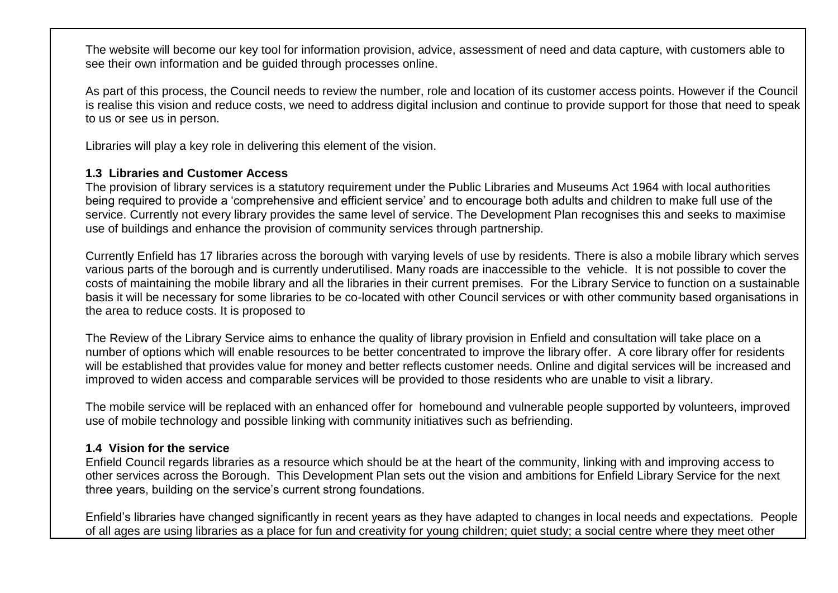The website will become our key tool for information provision, advice, assessment of need and data capture, with customers able to see their own information and be guided through processes online.

As part of this process, the Council needs to review the number, role and location of its customer access points. However if the Council is realise this vision and reduce costs, we need to address digital inclusion and continue to provide support for those that need to speak to us or see us in person.

Libraries will play a key role in delivering this element of the vision.

### **1.3 Libraries and Customer Access**

The provision of library services is a statutory requirement under the Public Libraries and Museums Act 1964 with local authorities being required to provide a 'comprehensive and efficient service' and to encourage both adults and children to make full use of the service. Currently not every library provides the same level of service. The Development Plan recognises this and seeks to maximise use of buildings and enhance the provision of community services through partnership.

Currently Enfield has 17 libraries across the borough with varying levels of use by residents. There is also a mobile library which serves various parts of the borough and is currently underutilised. Many roads are inaccessible to the vehicle. It is not possible to cover the costs of maintaining the mobile library and all the libraries in their current premises. For the Library Service to function on a sustainable basis it will be necessary for some libraries to be co-located with other Council services or with other community based organisations in the area to reduce costs. It is proposed to

The Review of the Library Service aims to enhance the quality of library provision in Enfield and consultation will take place on a number of options which will enable resources to be better concentrated to improve the library offer. A core library offer for residents will be established that provides value for money and better reflects customer needs. Online and digital services will be increased and improved to widen access and comparable services will be provided to those residents who are unable to visit a library.

The mobile service will be replaced with an enhanced offer for homebound and vulnerable people supported by volunteers, improved use of mobile technology and possible linking with community initiatives such as befriending.

### **1.4 Vision for the service**

Enfield Council regards libraries as a resource which should be at the heart of the community, linking with and improving access to other services across the Borough. This Development Plan sets out the vision and ambitions for Enfield Library Service for the next three years, building on the service's current strong foundations.

Enfield's libraries have changed significantly in recent years as they have adapted to changes in local needs and expectations. People of all ages are using libraries as a place for fun and creativity for young children; quiet study; a social centre where they meet other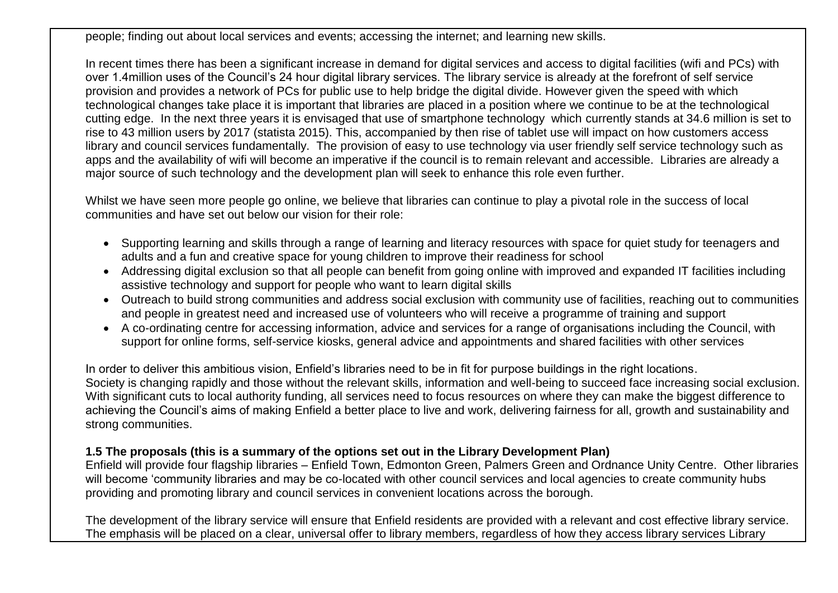people; finding out about local services and events; accessing the internet; and learning new skills.

In recent times there has been a significant increase in demand for digital services and access to digital facilities (wifi and PCs) with over 1.4million uses of the Council's 24 hour digital library services. The library service is already at the forefront of self service provision and provides a network of PCs for public use to help bridge the digital divide. However given the speed with which technological changes take place it is important that libraries are placed in a position where we continue to be at the technological cutting edge. In the next three years it is envisaged that use of smartphone technology which currently stands at 34.6 million is set to rise to 43 million users by 2017 (statista 2015). This, accompanied by then rise of tablet use will impact on how customers access library and council services fundamentally. The provision of easy to use technology via user friendly self service technology such as apps and the availability of wifi will become an imperative if the council is to remain relevant and accessible. Libraries are already a major source of such technology and the development plan will seek to enhance this role even further.

Whilst we have seen more people go online, we believe that libraries can continue to play a pivotal role in the success of local communities and have set out below our vision for their role:

- Supporting learning and skills through a range of learning and literacy resources with space for quiet study for teenagers and adults and a fun and creative space for young children to improve their readiness for school
- Addressing digital exclusion so that all people can benefit from going online with improved and expanded IT facilities including assistive technology and support for people who want to learn digital skills
- Outreach to build strong communities and address social exclusion with community use of facilities, reaching out to communities and people in greatest need and increased use of volunteers who will receive a programme of training and support
- A co-ordinating centre for accessing information, advice and services for a range of organisations including the Council, with support for online forms, self-service kiosks, general advice and appointments and shared facilities with other services

In order to deliver this ambitious vision, Enfield's libraries need to be in fit for purpose buildings in the right locations. Society is changing rapidly and those without the relevant skills, information and well-being to succeed face increasing social exclusion. With significant cuts to local authority funding, all services need to focus resources on where they can make the biggest difference to achieving the Council's aims of making Enfield a better place to live and work, delivering fairness for all, growth and sustainability and strong communities.

### **1.5 The proposals (this is a summary of the options set out in the Library Development Plan)**

Enfield will provide four flagship libraries – Enfield Town, Edmonton Green, Palmers Green and Ordnance Unity Centre. Other libraries will become 'community libraries and may be co-located with other council services and local agencies to create community hubs providing and promoting library and council services in convenient locations across the borough.

The development of the library service will ensure that Enfield residents are provided with a relevant and cost effective library service. The emphasis will be placed on a clear, universal offer to library members, regardless of how they access library services Library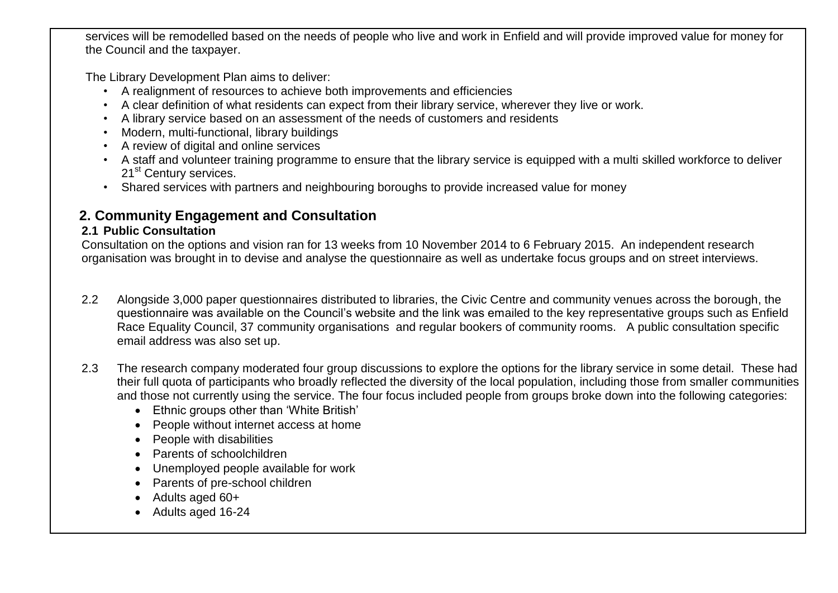services will be remodelled based on the needs of people who live and work in Enfield and will provide improved value for money for the Council and the taxpayer.

The Library Development Plan aims to deliver:

- A realignment of resources to achieve both improvements and efficiencies
- A clear definition of what residents can expect from their library service, wherever they live or work.
- A library service based on an assessment of the needs of customers and residents
- Modern, multi-functional, library buildings
- A review of digital and online services
- A staff and volunteer training programme to ensure that the library service is equipped with a multi skilled workforce to deliver 21<sup>st</sup> Century services.
- Shared services with partners and neighbouring boroughs to provide increased value for money

### **2. Community Engagement and Consultation**

### **2.1 Public Consultation**

Consultation on the options and vision ran for 13 weeks from 10 November 2014 to 6 February 2015. An independent research organisation was brought in to devise and analyse the questionnaire as well as undertake focus groups and on street interviews.

- 2.2 Alongside 3,000 paper questionnaires distributed to libraries, the Civic Centre and community venues across the borough, the questionnaire was available on the Council's website and the link was emailed to the key representative groups such as Enfield Race Equality Council, 37 community organisations and regular bookers of community rooms. A public consultation specific email address was also set up.
- 2.3 The research company moderated four group discussions to explore the options for the library service in some detail. These had their full quota of participants who broadly reflected the diversity of the local population, including those from smaller communities and those not currently using the service. The four focus included people from groups broke down into the following categories:
	- Ethnic groups other than 'White British'
	- People without internet access at home
	- People with disabilities
	- Parents of schoolchildren
	- Unemployed people available for work
	- Parents of pre-school children
	- Adults aged 60+
	- Adults aged 16-24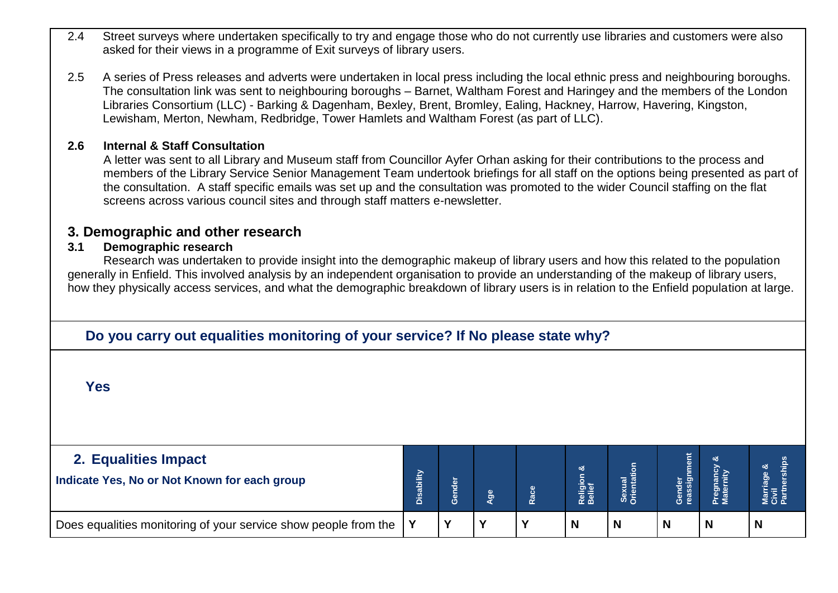- 2.4 Street surveys where undertaken specifically to try and engage those who do not currently use libraries and customers were also asked for their views in a programme of Exit surveys of library users.
- 2.5 A series of Press releases and adverts were undertaken in local press including the local ethnic press and neighbouring boroughs. The consultation link was sent to neighbouring boroughs – Barnet, Waltham Forest and Haringey and the members of the London Libraries Consortium (LLC) - Barking & Dagenham, Bexley, Brent, Bromley, Ealing, Hackney, Harrow, Havering, Kingston, Lewisham, Merton, Newham, Redbridge, Tower Hamlets and Waltham Forest (as part of LLC).

### **2.6 Internal & Staff Consultation**

A letter was sent to all Library and Museum staff from Councillor Ayfer Orhan asking for their contributions to the process and members of the Library Service Senior Management Team undertook briefings for all staff on the options being presented as part of the consultation. A staff specific emails was set up and the consultation was promoted to the wider Council staffing on the flat screens across various council sites and through staff matters e-newsletter.

### **3. Demographic and other research**

### **3.1 Demographic research**

Research was undertaken to provide insight into the demographic makeup of library users and how this related to the population generally in Enfield. This involved analysis by an independent organisation to provide an understanding of the makeup of library users, how they physically access services, and what the demographic breakdown of library users is in relation to the Enfield population at large.

### **1.Do you carry out equalities monitoring of your service? If No please state why?**

**Yes**

| 2. Equalities Impact<br>Indicate Yes, No or Not Known for each group | ability<br>Dis | hder | န္တ          | œ            | య<br>Religion<br>Belief | $\epsilon$<br><u>ia</u> | 世 | య<br>gna<br>tern |   |
|----------------------------------------------------------------------|----------------|------|--------------|--------------|-------------------------|-------------------------|---|------------------|---|
| Does equalities monitoring of your service show people from the      |                |      | $\mathbf{v}$ | $\mathbf{v}$ | N                       | N                       |   |                  | N |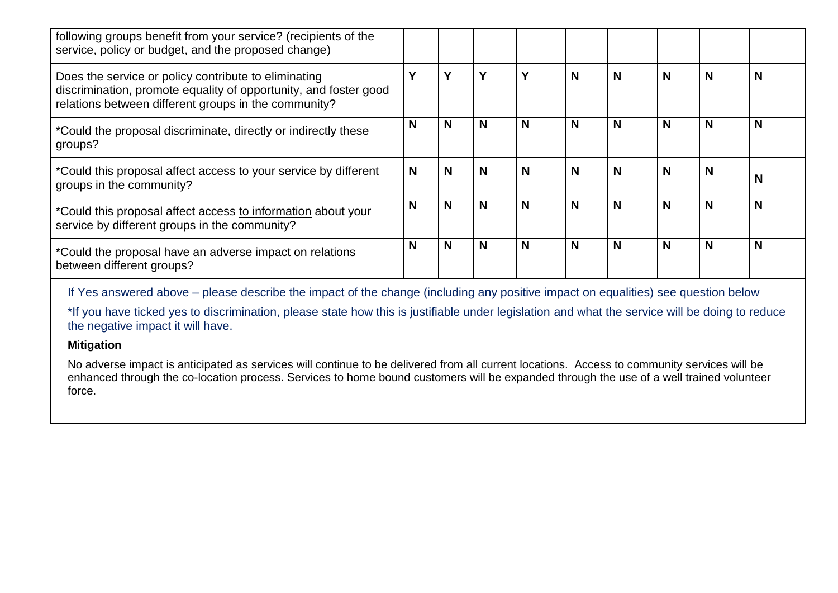| following groups benefit from your service? (recipients of the<br>service, policy or budget, and the proposed change)                                                            |   |   |   |   |   |   |             |          |   |
|----------------------------------------------------------------------------------------------------------------------------------------------------------------------------------|---|---|---|---|---|---|-------------|----------|---|
| Does the service or policy contribute to eliminating<br>discrimination, promote equality of opportunity, and foster good<br>relations between different groups in the community? |   | v | Υ | Υ | N | N | $\mathbf N$ | N        | N |
| *Could the proposal discriminate, directly or indirectly these<br>groups?                                                                                                        | N | N | N | N | N | N | $\mathbf N$ | N        | N |
| *Could this proposal affect access to your service by different<br>groups in the community?                                                                                      | N | N | N | N | N | N | $\mathbf N$ | <b>N</b> | N |
| *Could this proposal affect access to information about your<br>service by different groups in the community?                                                                    | N | N | N | N | N | N | $\mathbf N$ | N        | N |
| *Could the proposal have an adverse impact on relations<br>between different groups?                                                                                             | N | N | N | N | N | N | $\mathbf N$ | N        | N |

If Yes answered above – please describe the impact of the change (including any positive impact on equalities) see question below

\*If you have ticked yes to discrimination, please state how this is justifiable under legislation and what the service will be doing to reduce the negative impact it will have.

#### **Mitigation**

No adverse impact is anticipated as services will continue to be delivered from all current locations. Access to community services will be enhanced through the co-location process. Services to home bound customers will be expanded through the use of a well trained volunteer force.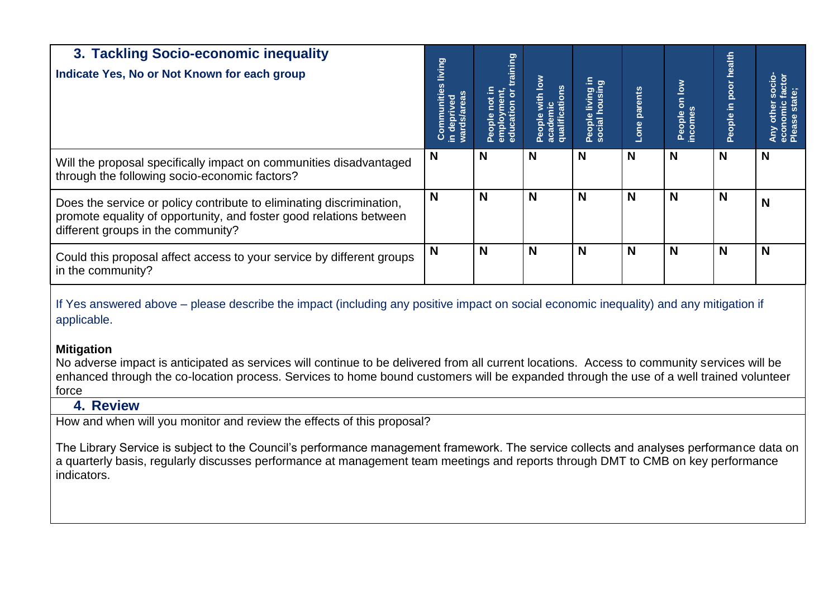| 3. Tackling Socio-economic inequality<br>Indicate Yes, No or Not Known for each group                                                                                                                                                                                                                                                                                                                                                                                                                                                                                | <b>Communities living</b><br>in deprived<br>wards/areas | training<br>People not in<br>employment,<br>education or | with low<br>qualifications<br>academic<br>People \ | e living in<br>housing<br>People living<br>social housii | Lone parents | People on low<br>incomes | health<br>People in poor | <u>io</u><br>$\frac{1}{2}$ |
|----------------------------------------------------------------------------------------------------------------------------------------------------------------------------------------------------------------------------------------------------------------------------------------------------------------------------------------------------------------------------------------------------------------------------------------------------------------------------------------------------------------------------------------------------------------------|---------------------------------------------------------|----------------------------------------------------------|----------------------------------------------------|----------------------------------------------------------|--------------|--------------------------|--------------------------|----------------------------|
| Will the proposal specifically impact on communities disadvantaged<br>through the following socio-economic factors?                                                                                                                                                                                                                                                                                                                                                                                                                                                  | N                                                       | N                                                        | N                                                  | N                                                        | N            | N                        | N                        | N                          |
| Does the service or policy contribute to eliminating discrimination,<br>promote equality of opportunity, and foster good relations between<br>different groups in the community?                                                                                                                                                                                                                                                                                                                                                                                     | N                                                       | N                                                        | N                                                  | N                                                        | N            | N                        | N                        | N                          |
| Could this proposal affect access to your service by different groups<br>in the community?                                                                                                                                                                                                                                                                                                                                                                                                                                                                           | N                                                       | N                                                        | N                                                  | N                                                        | N            | N                        | N                        | N                          |
| If Yes answered above – please describe the impact (including any positive impact on social economic inequality) and any mitigation if<br>applicable.<br><b>Mitigation</b><br>No adverse impact is anticipated as services will continue to be delivered from all current locations. Access to community services will be<br>enhanced through the co-location process. Services to home bound customers will be expanded through the use of a well trained volunteer<br>force<br>4. Review<br>How and when will you monitor and review the effects of this proposal? |                                                         |                                                          |                                                    |                                                          |              |                          |                          |                            |

The Library Service is subject to the Council's performance management framework. The service collects and analyses performance data on a quarterly basis, regularly discusses performance at management team meetings and reports through DMT to CMB on key performance indicators.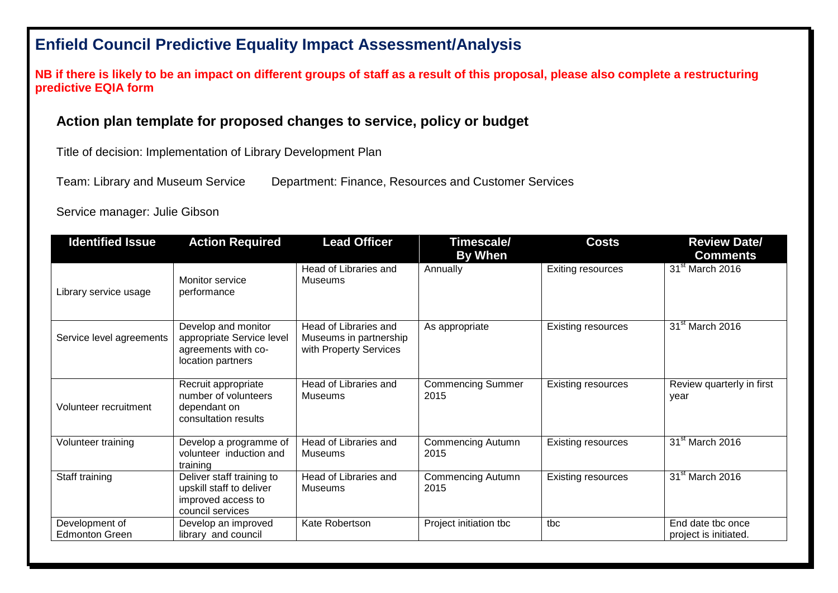# **Enfield Council Predictive Equality Impact Assessment/Analysis**

**NB if there is likely to be an impact on different groups of staff as a result of this proposal, please also complete a restructuring predictive EQIA form** 

### **Action plan template for proposed changes to service, policy or budget**

Title of decision: Implementation of Library Development Plan

Team: Library and Museum Service Department: Finance, Resources and Customer Services

Service manager: Julie Gibson

| <b>Identified Issue</b>                 | <b>Action Required</b>                                                                          | <b>Lead Officer</b><br>Timescale/                                         |                                  | <b>Costs</b>              | <b>Review Date/</b>                        |
|-----------------------------------------|-------------------------------------------------------------------------------------------------|---------------------------------------------------------------------------|----------------------------------|---------------------------|--------------------------------------------|
|                                         |                                                                                                 |                                                                           | By When                          |                           | <b>Comments</b>                            |
| Library service usage                   | Monitor service<br>performance                                                                  | Head of Libraries and<br>Museums                                          | Annually                         | <b>Exiting resources</b>  | 31 <sup>st</sup> March 2016                |
| Service level agreements                | Develop and monitor<br>appropriate Service level<br>agreements with co-<br>location partners    | Head of Libraries and<br>Museums in partnership<br>with Property Services | As appropriate                   | <b>Existing resources</b> | 31 <sup>st</sup> March 2016                |
| Volunteer recruitment                   | Recruit appropriate<br>number of volunteers<br>dependant on<br>consultation results             | Head of Libraries and<br>Museums                                          | <b>Commencing Summer</b><br>2015 | <b>Existing resources</b> | Review quarterly in first<br>year          |
| Volunteer training                      | Develop a programme of<br>volunteer induction and<br>training                                   | Head of Libraries and<br>Museums                                          | <b>Commencing Autumn</b><br>2015 | <b>Existing resources</b> | 31 <sup>st</sup> March 2016                |
| Staff training                          | Deliver staff training to<br>upskill staff to deliver<br>improved access to<br>council services | Head of Libraries and<br>Museums                                          | <b>Commencing Autumn</b><br>2015 | <b>Existing resources</b> | 31 <sup>st</sup> March 2016                |
| Development of<br><b>Edmonton Green</b> | Develop an improved<br>library and council                                                      | Kate Robertson                                                            | Project initiation tbc           | tbc                       | End date tbc once<br>project is initiated. |